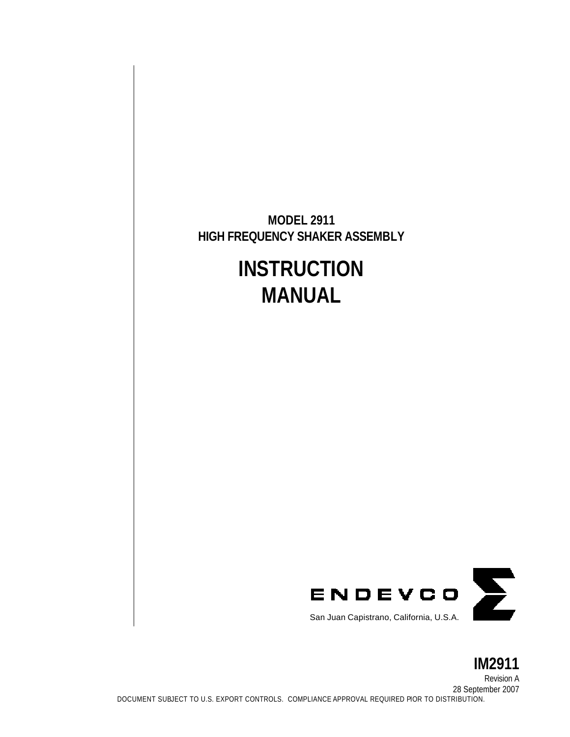**MODEL 2911 HIGH FREQUENCY SHAKER ASSEMBLY**

# **INSTRUCTION MANUAL**



**IM2911** Revision A 28 September 2007 DOCUMENT SUBJECT TO U.S. EXPORT CONTROLS. COMPLIANCE APPROVAL REQUIRED PIOR TO DISTRIBUTION.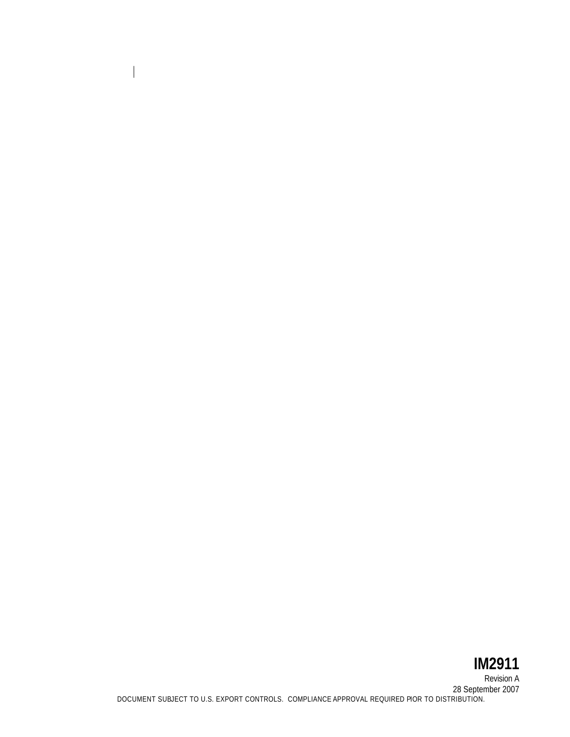# **IM2911** Revision A 28 September 2007 DOCUMENT SUBJECT TO U.S. EXPORT CONTROLS. COMPLIANCE APPROVAL REQUIRED PIOR TO DISTRIBUTION.

 $\boldsymbol{\mathsf{l}}$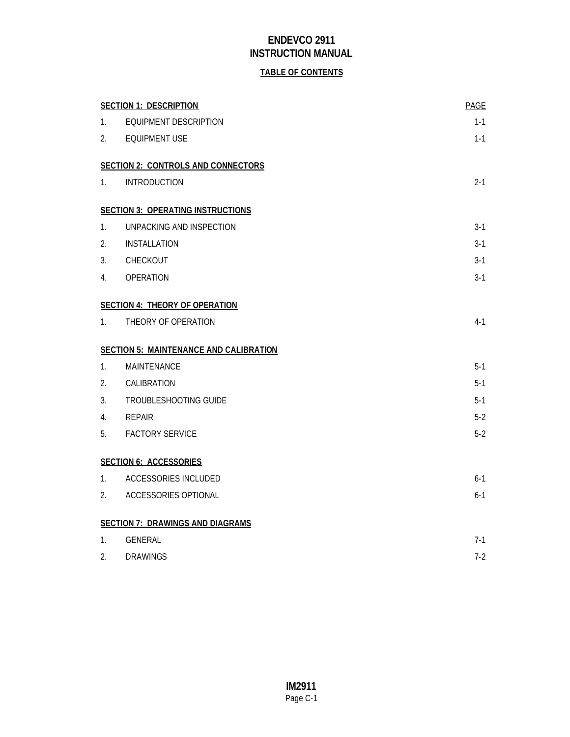### **TABLE OF CONTENTS**

|                | <b>SECTION 1: DESCRIPTION</b>                 | <b>PAGE</b> |
|----------------|-----------------------------------------------|-------------|
| $1_{\cdot}$    | <b>EQUIPMENT DESCRIPTION</b>                  | $1 - 1$     |
| 2.             | <b>EQUIPMENT USE</b>                          | $1 - 1$     |
|                | <b>SECTION 2: CONTROLS AND CONNECTORS</b>     |             |
| 1.             | <b>INTRODUCTION</b>                           | $2 - 1$     |
|                | <b>SECTION 3: OPERATING INSTRUCTIONS</b>      |             |
| $\mathbf{1}$ . | UNPACKING AND INSPECTION                      | $3-1$       |
| 2.             | <b>INSTALLATION</b>                           | 3-1         |
| 3.             | CHECKOUT                                      | $3-1$       |
| 4.             | <b>OPERATION</b>                              | $3 - 1$     |
|                | <b>SECTION 4: THEORY OF OPERATION</b>         |             |
| $1_{\cdot}$    | THEORY OF OPERATION                           | $4 - 1$     |
|                | <b>SECTION 5: MAINTENANCE AND CALIBRATION</b> |             |
| $\mathbf{1}$ . | MAINTENANCE                                   | $5-1$       |
| 2.             | CALIBRATION                                   | $5-1$       |
| 3.             | <b>TROUBLESHOOTING GUIDE</b>                  | $5-1$       |
| 4.             | <b>REPAIR</b>                                 | $5-2$       |
| 5.             | <b>FACTORY SERVICE</b>                        | $5-2$       |
|                | <b>SECTION 6: ACCESSORIES</b>                 |             |
| 1.             | <b>ACCESSORIES INCLUDED</b>                   | $6-1$       |
| 2.             | ACCESSORIES OPTIONAL                          | $6-1$       |
|                | <b>SECTION 7: DRAWINGS AND DIAGRAMS</b>       |             |
| $\mathbf{1}$ . | <b>GENERAL</b>                                | $7-1$       |
| 2.             | <b>DRAWINGS</b>                               | $7 - 2$     |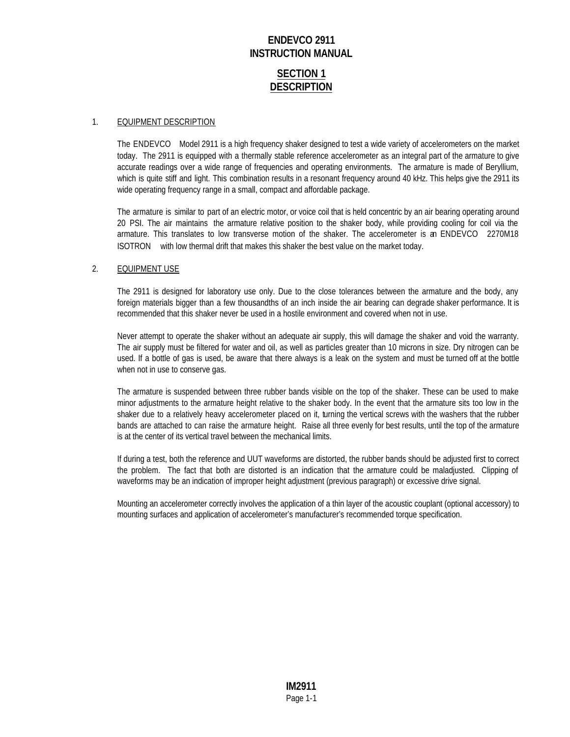### **SECTION 1 DESCRIPTION**

#### 1. EQUIPMENT DESCRIPTION

The ENDEVCO® Model 2911 is a high frequency shaker designed to test a wide variety of accelerometers on the market today. The 2911 is equipped with a thermally stable reference accelerometer as an integral part of the armature to give accurate readings over a wide range of frequencies and operating environments. The armature is made of Beryllium, which is quite stiff and light. This combination results in a resonant frequency around 40 kHz. This helps give the 2911 its wide operating frequency range in a small, compact and affordable package.

The armature is similar to part of an electric motor, or voice coil that is held concentric by an air bearing operating around 20 PSI. The air maintains the armature relative position to the shaker body, while providing cooling for coil via the armature. This translates to low transverse motion of the shaker. The accelerometer is an ENDEVCO® 2270M18 ISOTRON ® with low thermal drift that makes this shaker the best value on the market today.

### 2. EQUIPMENT USE

The 2911 is designed for laboratory use only. Due to the close tolerances between the armature and the body, any foreign materials bigger than a few thousandths of an inch inside the air bearing can degrade shaker performance. It is recommended that this shaker never be used in a hostile environment and covered when not in use.

Never attempt to operate the shaker without an adequate air supply, this will damage the shaker and void the warranty. The air supply must be filtered for water and oil, as well as particles greater than 10 microns in size. Dry nitrogen can be used. If a bottle of gas is used, be aware that there always is a leak on the system and must be turned off at the bottle when not in use to conserve gas.

The armature is suspended between three rubber bands visible on the top of the shaker. These can be used to make minor adjustments to the armature height relative to the shaker body. In the event that the armature sits too low in the shaker due to a relatively heavy accelerometer placed on it, turning the vertical screws with the washers that the rubber bands are attached to can raise the armature height. Raise all three evenly for best results, until the top of the armature is at the center of its vertical travel between the mechanical limits.

If during a test, both the reference and UUT waveforms are distorted, the rubber bands should be adjusted first to correct the problem. The fact that both are distorted is an indication that the armature could be maladjusted. Clipping of waveforms may be an indication of improper height adjustment (previous paragraph) or excessive drive signal.

Mounting an accelerometer correctly involves the application of a thin layer of the acoustic couplant (optional accessory) to mounting surfaces and application of accelerometer's manufacturer's recommended torque specification.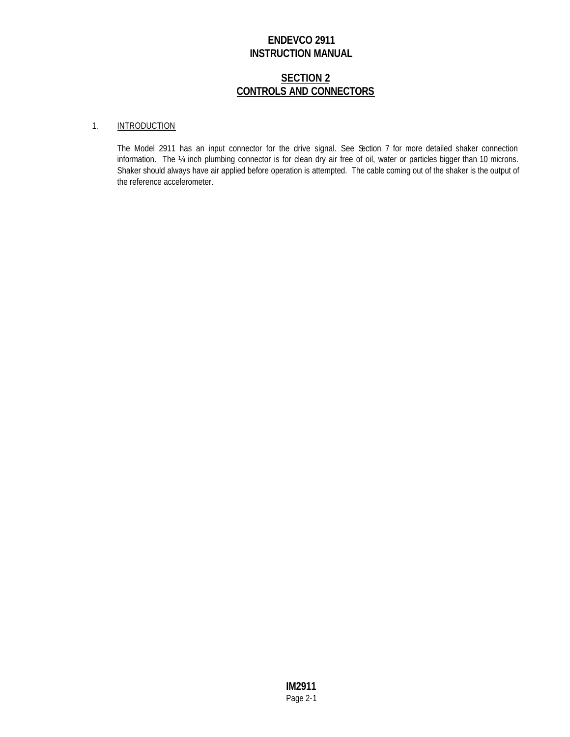### **SECTION 2 CONTROLS AND CONNECTORS**

### 1. INTRODUCTION

The Model 2911 has an input connector for the drive signal. See Section 7 for more detailed shaker connection information. The ¼ inch plumbing connector is for clean dry air free of oil, water or particles bigger than 10 microns. Shaker should always have air applied before operation is attempted. The cable coming out of the shaker is the output of the reference accelerometer.

> **IM2911** Page 2-1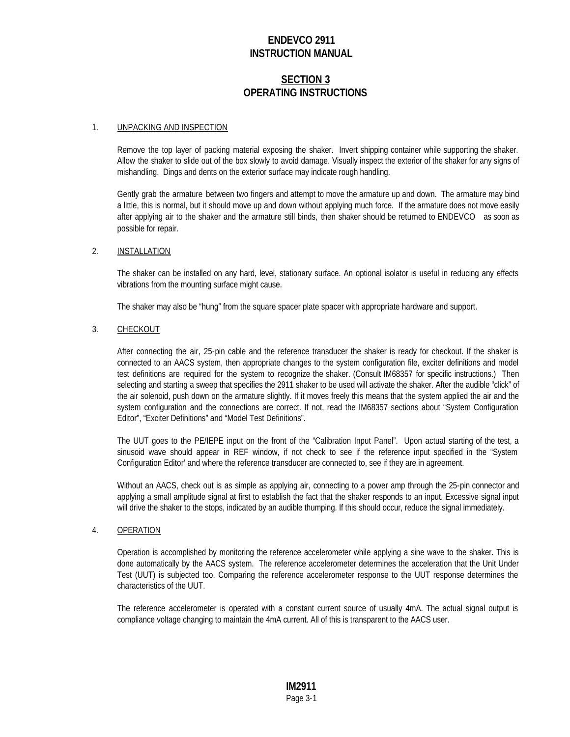### **SECTION 3 OPERATING INSTRUCTIONS**

#### 1. UNPACKING AND INSPECTION

Remove the top layer of packing material exposing the shaker. Invert shipping container while supporting the shaker. Allow the shaker to slide out of the box slowly to avoid damage. Visually inspect the exterior of the shaker for any signs of mishandling. Dings and dents on the exterior surface may indicate rough handling.

Gently grab the armature between two fingers and attempt to move the armature up and down. The armature may bind a little, this is normal, but it should move up and down without applying much force. If the armature does not move easily after applying air to the shaker and the armature still binds, then shaker should be returned to ENDEVCO® as soon as possible for repair.

### 2. INSTALLATION

The shaker can be installed on any hard, level, stationary surface. An optional isolator is useful in reducing any effects vibrations from the mounting surface might cause.

The shaker may also be "hung" from the square spacer plate spacer with appropriate hardware and support.

#### 3. CHECKOUT

After connecting the air, 25-pin cable and the reference transducer the shaker is ready for checkout. If the shaker is connected to an AACS system, then appropriate changes to the system configuration file, exciter definitions and model test definitions are required for the system to recognize the shaker. (Consult IM68357 for specific instructions.) Then selecting and starting a sweep that specifies the 2911 shaker to be used will activate the shaker. After the audible "click" of the air solenoid, push down on the armature slightly. If it moves freely this means that the system applied the air and the system configuration and the connections are correct. If not, read the IM68357 sections about "System Configuration Editor", "Exciter Definitions" and "Model Test Definitions".

The UUT goes to the PE/IEPE input on the front of the "Calibration Input Panel". Upon actual starting of the test, a sinusoid wave should appear in REF window, if not check to see if the reference input specified in the "System Configuration Editor' and where the reference transducer are connected to, see if they are in agreement.

Without an AACS, check out is as simple as applying air, connecting to a power amp through the 25-pin connector and applying a small amplitude signal at first to establish the fact that the shaker responds to an input. Excessive signal input will drive the shaker to the stops, indicated by an audible thumping. If this should occur, reduce the signal immediately.

### 4. OPERATION

Operation is accomplished by monitoring the reference accelerometer while applying a sine wave to the shaker. This is done automatically by the AACS system. The reference accelerometer determines the acceleration that the Unit Under Test (UUT) is subjected too. Comparing the reference accelerometer response to the UUT response determines the characteristics of the UUT.

The reference accelerometer is operated with a constant current source of usually 4mA. The actual signal output is compliance voltage changing to maintain the 4mA current. All of this is transparent to the AACS user.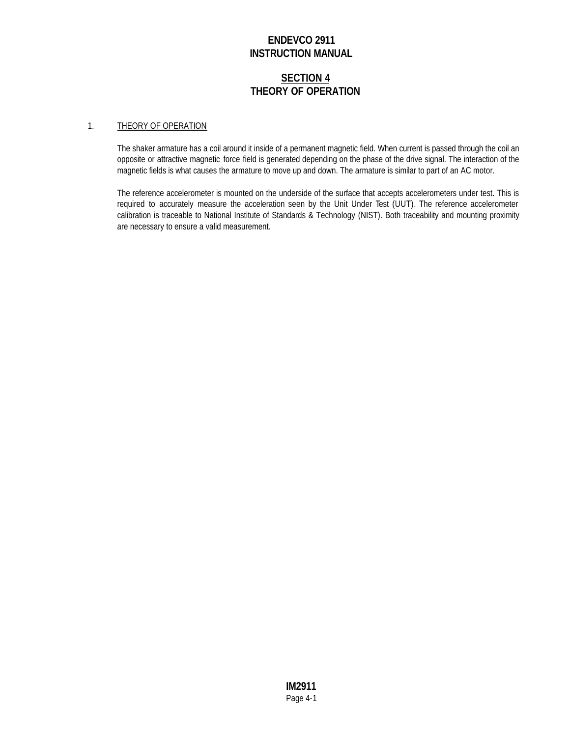### **SECTION 4 THEORY OF OPERATION**

#### 1. THEORY OF OPERATION

The shaker armature has a coil around it inside of a permanent magnetic field. When current is passed through the coil an opposite or attractive magnetic force field is generated depending on the phase of the drive signal. The interaction of the magnetic fields is what causes the armature to move up and down. The armature is similar to part of an AC motor.

The reference accelerometer is mounted on the underside of the surface that accepts accelerometers under test. This is required to accurately measure the acceleration seen by the Unit Under Test (UUT). The reference accelerometer calibration is traceable to National Institute of Standards & Technology (NIST). Both traceability and mounting proximity are necessary to ensure a valid measurement.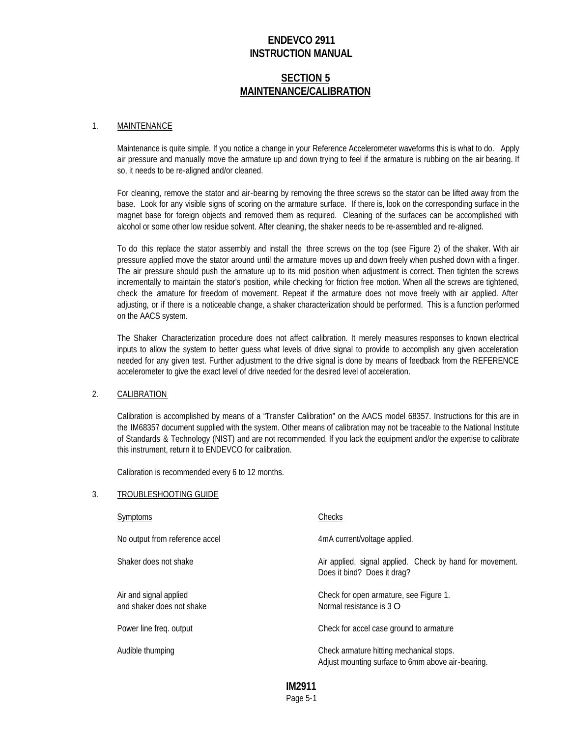### **SECTION 5 MAINTENANCE/CALIBRATION**

#### 1. MAINTENANCE

Maintenance is quite simple. If you notice a change in your Reference Accelerometer waveforms this is what to do. Apply air pressure and manually move the armature up and down trying to feel if the armature is rubbing on the air bearing. If so, it needs to be re-aligned and/or cleaned.

For cleaning, remove the stator and air-bearing by removing the three screws so the stator can be lifted away from the base. Look for any visible signs of scoring on the armature surface. If there is, look on the corresponding surface in the magnet base for foreign objects and removed them as required. Cleaning of the surfaces can be accomplished with alcohol or some other low residue solvent. After cleaning, the shaker needs to be re-assembled and re-aligned.

To do this replace the stator assembly and install the three screws on the top (see Figure 2) of the shaker. With air pressure applied move the stator around until the armature moves up and down freely when pushed down with a finger. The air pressure should push the armature up to its mid position when adjustment is correct. Then tighten the screws incrementally to maintain the stator's position, while checking for friction free motion. When all the screws are tightened, check the armature for freedom of movement. Repeat if the armature does not move freely with air applied. After adjusting, or if there is a noticeable change, a shaker characterization should be performed. This is a function performed on the AACS system.

The Shaker Characterization procedure does not affect calibration. It merely measures responses to known electrical inputs to allow the system to better guess what levels of drive signal to provide to accomplish any given acceleration needed for any given test. Further adjustment to the drive signal is done by means of feedback from the REFERENCE accelerometer to give the exact level of drive needed for the desired level of acceleration.

#### 2. CALIBRATION

Calibration is accomplished by means of a "Transfer Calibration" on the AACS model 68357. Instructions for this are in the IM68357 document supplied with the system. Other means of calibration may not be traceable to the National Institute of Standards & Technology (NIST) and are not recommended. If you lack the equipment and/or the expertise to calibrate this instrument, return it to ENDEVCO for calibration.

Calibration is recommended every 6 to 12 months.

#### 3. TROUBLESHOOTING GUIDE

| Symptoms                                            | Checks                                                                                        |
|-----------------------------------------------------|-----------------------------------------------------------------------------------------------|
| No output from reference accel                      | 4mA current/voltage applied.                                                                  |
| Shaker does not shake                               | Air applied, signal applied. Check by hand for movement.<br>Does it bind? Does it drag?       |
| Air and signal applied<br>and shaker does not shake | Check for open armature, see Figure 1.<br>Normal resistance is $3 \Omega$                     |
| Power line freq. output                             | Check for accel case ground to armature                                                       |
| Audible thumping                                    | Check armature hitting mechanical stops.<br>Adjust mounting surface to 6mm above air-bearing. |

### **IM2911**

Page 5-1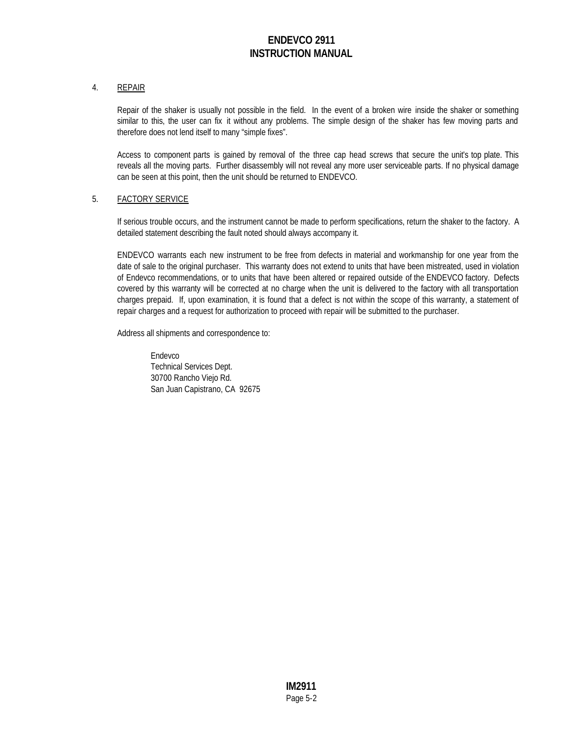### 4. REPAIR

Repair of the shaker is usually not possible in the field. In the event of a broken wire inside the shaker or something similar to this, the user can fix it without any problems. The simple design of the shaker has few moving parts and therefore does not lend itself to many "simple fixes".

Access to component parts is gained by removal of the three cap head screws that secure the unit's top plate. This reveals all the moving parts. Further disassembly will not reveal any more user serviceable parts. If no physical damage can be seen at this point, then the unit should be returned to ENDEVCO.

#### 5. FACTORY SERVICE

If serious trouble occurs, and the instrument cannot be made to perform specifications, return the shaker to the factory. A detailed statement describing the fault noted should always accompany it.

ENDEVCO warrants each new instrument to be free from defects in material and workmanship for one year from the date of sale to the original purchaser. This warranty does not extend to units that have been mistreated, used in violation of Endevco recommendations, or to units that have been altered or repaired outside of the ENDEVCO factory. Defects covered by this warranty will be corrected at no charge when the unit is delivered to the factory with all transportation charges prepaid. If, upon examination, it is found that a defect is not within the scope of this warranty, a statement of repair charges and a request for authorization to proceed with repair will be submitted to the purchaser.

Address all shipments and correspondence to:

Endevco Technical Services Dept. 30700 Rancho Viejo Rd. San Juan Capistrano, CA 92675

> **IM2911** Page 5-2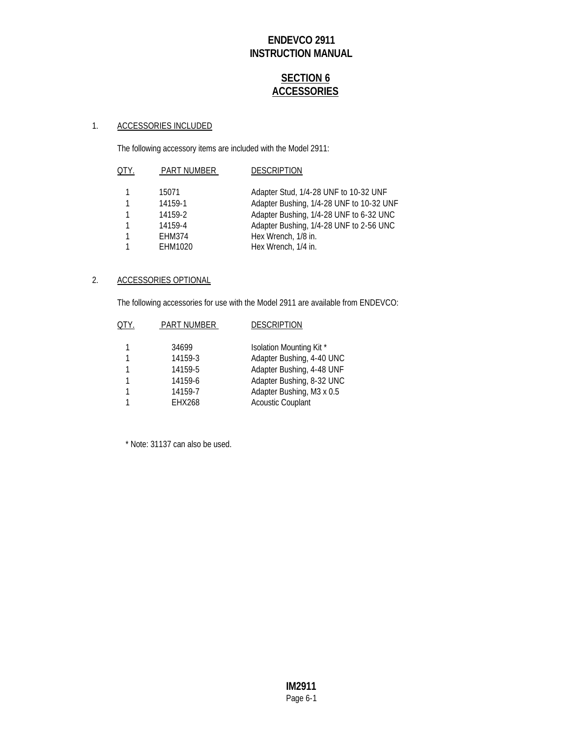# **SECTION 6 ACCESSORIES**

### 1. ACCESSORIES INCLUDED

The following accessory items are included with the Model 2911:

| QTY. | <b>PART NUMBER</b> | <b>DESCRIPTION</b>                       |
|------|--------------------|------------------------------------------|
|      | 15071              | Adapter Stud, 1/4-28 UNF to 10-32 UNF    |
| 1    | 14159-1            | Adapter Bushing, 1/4-28 UNF to 10-32 UNF |
| 1    | 14159-2            | Adapter Bushing, 1/4-28 UNF to 6-32 UNC  |
| 1    | 14159-4            | Adapter Bushing, 1/4-28 UNF to 2-56 UNC  |
| 1    | EHM374             | Hex Wrench, 1/8 in.                      |
| 1    | EHM1020            | Hex Wrench, 1/4 in.                      |
|      |                    |                                          |

### 2. ACCESSORIES OPTIONAL

The following accessories for use with the Model 2911 are available from ENDEVCO:

| QTY. | PART NUMBER   | <b>DESCRIPTION</b>        |
|------|---------------|---------------------------|
|      | 34699         | Isolation Mounting Kit *  |
|      |               |                           |
|      | 14159-3       | Adapter Bushing, 4-40 UNC |
|      | 14159-5       | Adapter Bushing, 4-48 UNF |
|      | 14159-6       | Adapter Bushing, 8-32 UNC |
|      | 14159-7       | Adapter Bushing, M3 x 0.5 |
|      | <b>EHX268</b> | <b>Acoustic Couplant</b>  |
|      |               |                           |

\* Note: 31137 can also be used.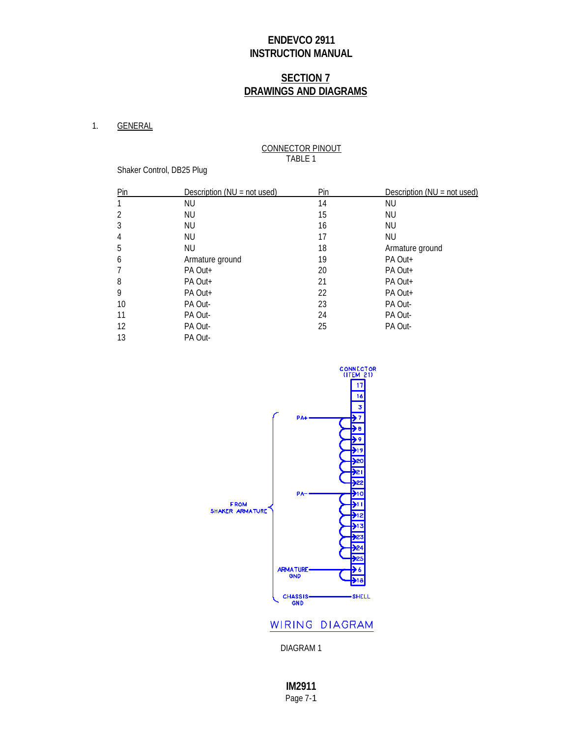# **SECTION 7 DRAWINGS AND DIAGRAMS**

#### 1. GENERAL

#### CONNECTOR PINOUT TABLE 1

Shaker Control, DB25 Plug

| Pin            | Description ( $NU = not used$ ) | Pin | Description ( $NU = not used$ ) |
|----------------|---------------------------------|-----|---------------------------------|
| 1              | <b>NU</b>                       | 14  | NU.                             |
| $\overline{2}$ | NU                              | 15  | NU                              |
| 3              | NU                              | 16  | <b>NU</b>                       |
| 4              | NU                              | 17  | <b>NU</b>                       |
| 5              | NU.                             | 18  | Armature ground                 |
| 6              | Armature ground                 | 19  | PA Out+                         |
| 7              | PA Out+                         | 20  | PA Out+                         |
| 8              | PA Out+                         | 21  | PA Out+                         |
| 9              | PA Out+                         | 22  | PA Out+                         |
| 10             | PA Out-                         | 23  | PA Out-                         |
| 11             | PA Out-                         | 24  | PA Out-                         |
| 12             | PA Out-                         | 25  | PA Out-                         |
| 13             | PA Out-                         |     |                                 |



### WIRING DIAGRAM

DIAGRAM 1

**IM2911** Page 7-1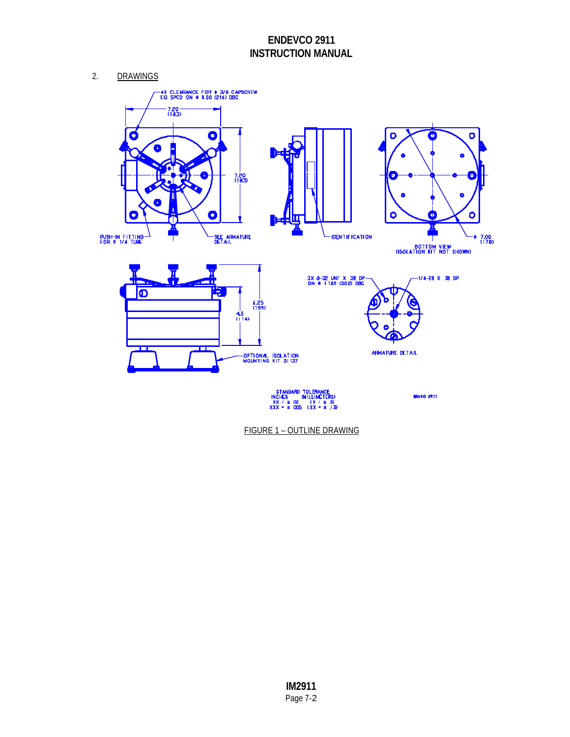2. DRAWINGS



FIGURE 1 – OUTLINE DRAWING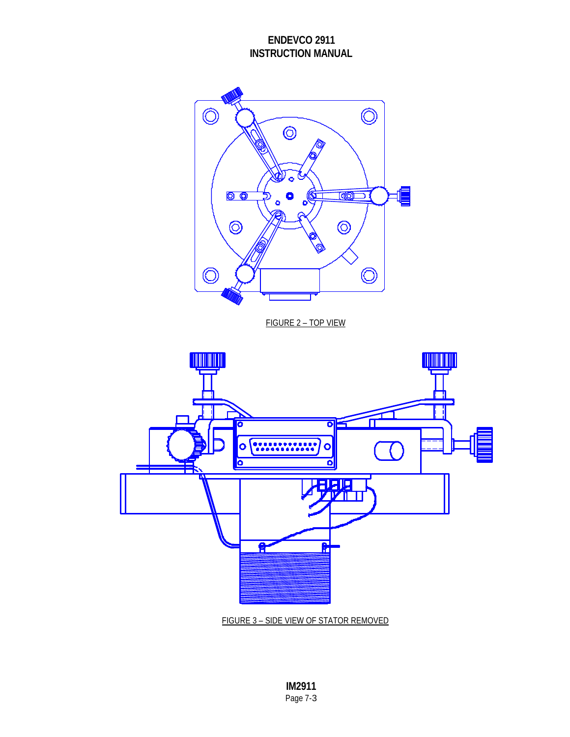

FIGURE 2 – TOP VIEW



FIGURE 3 – SIDE VIEW OF STATOR REMOVED

**IM2911** Page 7-3